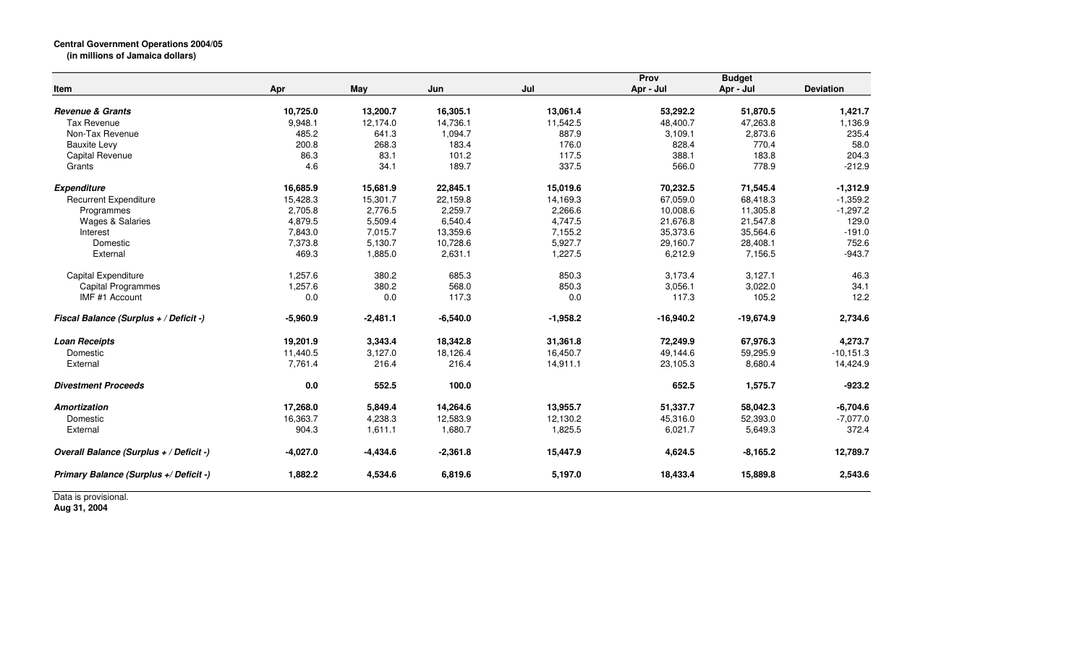## **Central Government Operations 2004/05 (in millions of Jamaica dollars)**

| Item                                    | Apr        | <b>May</b> | Jun        | Jul        | Prov<br>Apr - Jul | <b>Budget</b><br>Apr - Jul | <b>Deviation</b> |
|-----------------------------------------|------------|------------|------------|------------|-------------------|----------------------------|------------------|
| <b>Revenue &amp; Grants</b>             | 10,725.0   | 13,200.7   | 16,305.1   | 13,061.4   | 53,292.2          | 51,870.5                   | 1,421.7          |
| <b>Tax Revenue</b>                      | 9,948.1    | 12,174.0   | 14,736.1   | 11,542.5   | 48,400.7          | 47,263.8                   | 1,136.9          |
| Non-Tax Revenue                         | 485.2      | 641.3      | 1,094.7    | 887.9      | 3,109.1           | 2,873.6                    | 235.4            |
| <b>Bauxite Levy</b>                     | 200.8      | 268.3      | 183.4      | 176.0      | 828.4             | 770.4                      | 58.0             |
| <b>Capital Revenue</b>                  | 86.3       | 83.1       | 101.2      | 117.5      | 388.1             | 183.8                      | 204.3            |
| Grants                                  | 4.6        | 34.1       | 189.7      | 337.5      | 566.0             | 778.9                      | $-212.9$         |
| <b>Expenditure</b>                      | 16,685.9   | 15,681.9   | 22,845.1   | 15,019.6   | 70,232.5          | 71,545.4                   | $-1,312.9$       |
| <b>Recurrent Expenditure</b>            | 15,428.3   | 15,301.7   | 22,159.8   | 14,169.3   | 67,059.0          | 68,418.3                   | $-1,359.2$       |
| Programmes                              | 2,705.8    | 2.776.5    | 2,259.7    | 2,266.6    | 10,008.6          | 11,305.8                   | $-1,297.2$       |
| <b>Wages &amp; Salaries</b>             | 4,879.5    | 5,509.4    | 6,540.4    | 4,747.5    | 21,676.8          | 21,547.8                   | 129.0            |
| Interest                                | 7,843.0    | 7,015.7    | 13,359.6   | 7,155.2    | 35,373.6          | 35,564.6                   | $-191.0$         |
| Domestic                                | 7,373.8    | 5,130.7    | 10,728.6   | 5,927.7    | 29,160.7          | 28,408.1                   | 752.6            |
| External                                | 469.3      | 1,885.0    | 2,631.1    | 1,227.5    | 6,212.9           | 7,156.5                    | $-943.7$         |
| Capital Expenditure                     | 1,257.6    | 380.2      | 685.3      | 850.3      | 3,173.4           | 3.127.1                    | 46.3             |
| <b>Capital Programmes</b>               | 1,257.6    | 380.2      | 568.0      | 850.3      | 3,056.1           | 3,022.0                    | 34.1             |
| IMF #1 Account                          | 0.0        | 0.0        | 117.3      | 0.0        | 117.3             | 105.2                      | 12.2             |
| Fiscal Balance (Surplus + / Deficit -)  | $-5,960.9$ | $-2,481.1$ | $-6,540.0$ | $-1,958.2$ | $-16,940.2$       | $-19,674.9$                | 2,734.6          |
| <b>Loan Receipts</b>                    | 19,201.9   | 3,343.4    | 18,342.8   | 31,361.8   | 72,249.9          | 67,976.3                   | 4,273.7          |
| Domestic                                | 11,440.5   | 3,127.0    | 18,126.4   | 16,450.7   | 49,144.6          | 59,295.9                   | $-10, 151.3$     |
| External                                | 7,761.4    | 216.4      | 216.4      | 14,911.1   | 23,105.3          | 8,680.4                    | 14,424.9         |
| <b>Divestment Proceeds</b>              | 0.0        | 552.5      | 100.0      |            | 652.5             | 1,575.7                    | $-923.2$         |
| <b>Amortization</b>                     | 17,268.0   | 5,849.4    | 14,264.6   | 13,955.7   | 51,337.7          | 58,042.3                   | $-6,704.6$       |
| Domestic                                | 16,363.7   | 4,238.3    | 12,583.9   | 12,130.2   | 45,316.0          | 52,393.0                   | $-7,077.0$       |
| External                                | 904.3      | 1,611.1    | 1,680.7    | 1,825.5    | 6,021.7           | 5,649.3                    | 372.4            |
| Overall Balance (Surplus + / Deficit -) | $-4,027.0$ | -4,434.6   | $-2,361.8$ | 15,447.9   | 4,624.5           | $-8,165.2$                 | 12,789.7         |
| Primary Balance (Surplus +/ Deficit -)  | 1,882.2    | 4,534.6    | 6,819.6    | 5,197.0    | 18,433.4          | 15,889.8                   | 2,543.6          |

Data is provisional. **Aug 31, 2004**